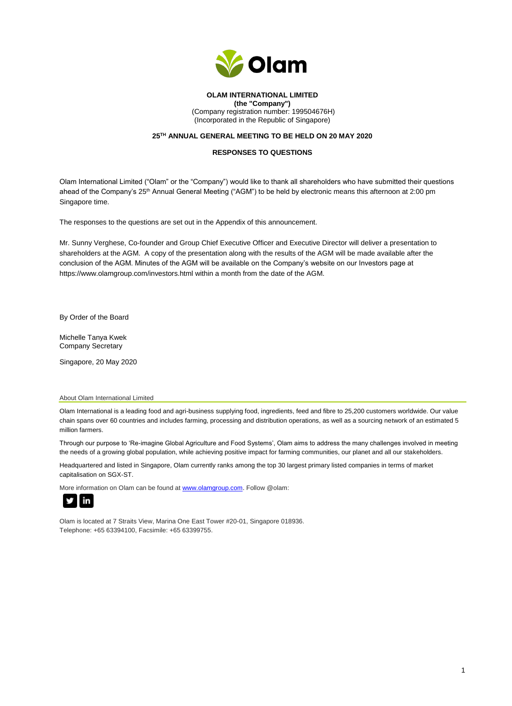

# **OLAM INTERNATIONAL LIMITED (the "Company")**

(Company registration number: 199504676H) (Incorporated in the Republic of Singapore)

### **25TH ANNUAL GENERAL MEETING TO BE HELD ON 20 MAY 2020**

### **RESPONSES TO QUESTIONS**

Olam International Limited ("Olam" or the "Company") would like to thank all shareholders who have submitted their questions ahead of the Company's 25<sup>th</sup> Annual General Meeting ("AGM") to be held by electronic means this afternoon at 2:00 pm Singapore time.

The responses to the questions are set out in the Appendix of this announcement.

Mr. Sunny Verghese, Co-founder and Group Chief Executive Officer and Executive Director will deliver a presentation to shareholders at the AGM. A copy of the presentation along with the results of the AGM will be made available after the conclusion of the AGM. Minutes of the AGM will be available on the Company's website on our Investors page at https://www.olamgroup.com/investors.html within a month from the date of the AGM.

By Order of the Board

Michelle Tanya Kwek Company Secretary

Singapore, 20 May 2020

#### About Olam International Limited

Olam International is a leading food and agri-business supplying food, ingredients, feed and fibre to 25,200 customers worldwide. Our value chain spans over 60 countries and includes farming, processing and distribution operations, as well as a sourcing network of an estimated 5 million farmers.

Through our purpose to 'Re-imagine Global Agriculture and Food Systems', Olam aims to address the many challenges involved in meeting the needs of a growing global population, while achieving positive impact for farming communities, our planet and all our stakeholders.

Headquartered and listed in Singapore, Olam currently ranks among the top 30 largest primary listed companies in terms of market capitalisation on SGX-ST.

More information on Olam can be found at [www.olamgroup.com.](http://www.olamgroup.com/) Follow @olam:



Olam is located at 7 Straits View, Marina One East Tower #20-01, Singapore 018936. Telephone: +65 63394100, Facsimile: +65 63399755.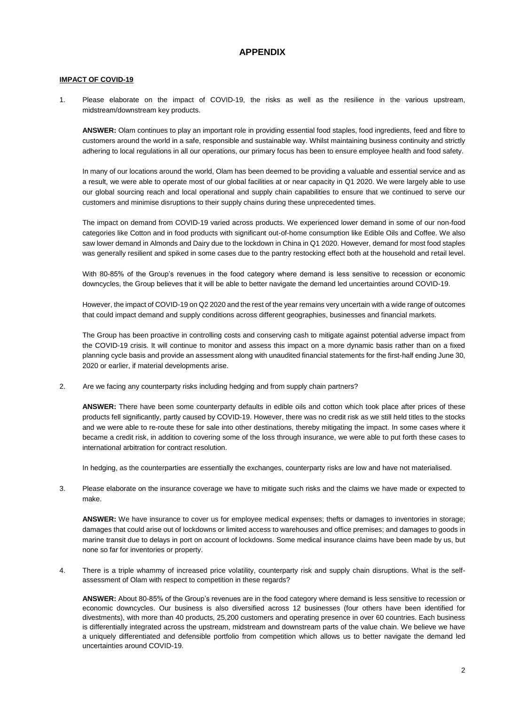# **APPENDIX**

### **IMPACT OF COVID-19**

1. Please elaborate on the impact of COVID-19, the risks as well as the resilience in the various upstream, midstream/downstream key products.

**ANSWER:** Olam continues to play an important role in providing essential food staples, food ingredients, feed and fibre to customers around the world in a safe, responsible and sustainable way. Whilst maintaining business continuity and strictly adhering to local regulations in all our operations, our primary focus has been to ensure employee health and food safety.

In many of our locations around the world, Olam has been deemed to be providing a valuable and essential service and as a result, we were able to operate most of our global facilities at or near capacity in Q1 2020. We were largely able to use our global sourcing reach and local operational and supply chain capabilities to ensure that we continued to serve our customers and minimise disruptions to their supply chains during these unprecedented times.

The impact on demand from COVID-19 varied across products. We experienced lower demand in some of our non-food categories like Cotton and in food products with significant out-of-home consumption like Edible Oils and Coffee. We also saw lower demand in Almonds and Dairy due to the lockdown in China in Q1 2020. However, demand for most food staples was generally resilient and spiked in some cases due to the pantry restocking effect both at the household and retail level.

With 80-85% of the Group's revenues in the food category where demand is less sensitive to recession or economic downcycles, the Group believes that it will be able to better navigate the demand led uncertainties around COVID-19.

However, the impact of COVID-19 on Q2 2020 and the rest of the year remains very uncertain with a wide range of outcomes that could impact demand and supply conditions across different geographies, businesses and financial markets.

The Group has been proactive in controlling costs and conserving cash to mitigate against potential adverse impact from the COVID-19 crisis. It will continue to monitor and assess this impact on a more dynamic basis rather than on a fixed planning cycle basis and provide an assessment along with unaudited financial statements for the first-half ending June 30, 2020 or earlier, if material developments arise.

2. Are we facing any counterparty risks including hedging and from supply chain partners?

**ANSWER:** There have been some counterparty defaults in edible oils and cotton which took place after prices of these products fell significantly, partly caused by COVID-19. However, there was no credit risk as we still held titles to the stocks and we were able to re-route these for sale into other destinations, thereby mitigating the impact. In some cases where it became a credit risk, in addition to covering some of the loss through insurance, we were able to put forth these cases to international arbitration for contract resolution.

In hedging, as the counterparties are essentially the exchanges, counterparty risks are low and have not materialised.

3. Please elaborate on the insurance coverage we have to mitigate such risks and the claims we have made or expected to make.

**ANSWER:** We have insurance to cover us for employee medical expenses; thefts or damages to inventories in storage; damages that could arise out of lockdowns or limited access to warehouses and office premises; and damages to goods in marine transit due to delays in port on account of lockdowns. Some medical insurance claims have been made by us, but none so far for inventories or property.

4. There is a triple whammy of increased price volatility, counterparty risk and supply chain disruptions. What is the selfassessment of Olam with respect to competition in these regards?

**ANSWER:** About 80-85% of the Group's revenues are in the food category where demand is less sensitive to recession or economic downcycles. Our business is also diversified across 12 businesses (four others have been identified for divestments), with more than 40 products, 25,200 customers and operating presence in over 60 countries. Each business is differentially integrated across the upstream, midstream and downstream parts of the value chain. We believe we have a uniquely differentiated and defensible portfolio from competition which allows us to better navigate the demand led uncertainties around COVID-19.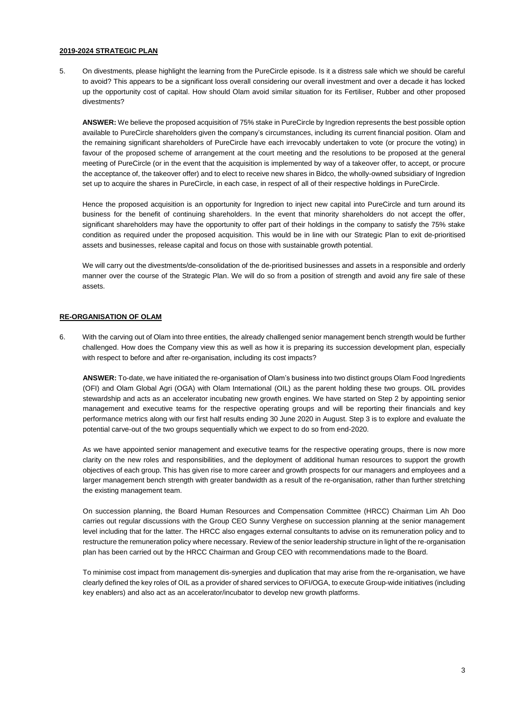### **2019-2024 STRATEGIC PLAN**

5. On divestments, please highlight the learning from the PureCircle episode. Is it a distress sale which we should be careful to avoid? This appears to be a significant loss overall considering our overall investment and over a decade it has locked up the opportunity cost of capital. How should Olam avoid similar situation for its Fertiliser, Rubber and other proposed divestments?

**ANSWER:** We believe the proposed acquisition of 75% stake in PureCircle by Ingredion represents the best possible option available to PureCircle shareholders given the company's circumstances, including its current financial position. Olam and the remaining significant shareholders of PureCircle have each irrevocably undertaken to vote (or procure the voting) in favour of the proposed scheme of arrangement at the court meeting and the resolutions to be proposed at the general meeting of PureCircle (or in the event that the acquisition is implemented by way of a takeover offer, to accept, or procure the acceptance of, the takeover offer) and to elect to receive new shares in Bidco, the wholly-owned subsidiary of Ingredion set up to acquire the shares in PureCircle, in each case, in respect of all of their respective holdings in PureCircle.

Hence the proposed acquisition is an opportunity for Ingredion to inject new capital into PureCircle and turn around its business for the benefit of continuing shareholders. In the event that minority shareholders do not accept the offer, significant shareholders may have the opportunity to offer part of their holdings in the company to satisfy the 75% stake condition as required under the proposed acquisition. This would be in line with our Strategic Plan to exit de-prioritised assets and businesses, release capital and focus on those with sustainable growth potential.

We will carry out the divestments/de-consolidation of the de-prioritised businesses and assets in a responsible and orderly manner over the course of the Strategic Plan. We will do so from a position of strength and avoid any fire sale of these assets.

## **RE-ORGANISATION OF OLAM**

6. With the carving out of Olam into three entities, the already challenged senior management bench strength would be further challenged. How does the Company view this as well as how it is preparing its succession development plan, especially with respect to before and after re-organisation, including its cost impacts?

**ANSWER:** To-date, we have initiated the re-organisation of Olam's business into two distinct groups Olam Food Ingredients (OFI) and Olam Global Agri (OGA) with Olam International (OIL) as the parent holding these two groups. OIL provides stewardship and acts as an accelerator incubating new growth engines. We have started on Step 2 by appointing senior management and executive teams for the respective operating groups and will be reporting their financials and key performance metrics along with our first half results ending 30 June 2020 in August. Step 3 is to explore and evaluate the potential carve-out of the two groups sequentially which we expect to do so from end-2020.

As we have appointed senior management and executive teams for the respective operating groups, there is now more clarity on the new roles and responsibilities, and the deployment of additional human resources to support the growth objectives of each group. This has given rise to more career and growth prospects for our managers and employees and a larger management bench strength with greater bandwidth as a result of the re-organisation, rather than further stretching the existing management team.

On succession planning, the Board Human Resources and Compensation Committee (HRCC) Chairman Lim Ah Doo carries out regular discussions with the Group CEO Sunny Verghese on succession planning at the senior management level including that for the latter. The HRCC also engages external consultants to advise on its remuneration policy and to restructure the remuneration policy where necessary. Review of the senior leadership structure in light of the re-organisation plan has been carried out by the HRCC Chairman and Group CEO with recommendations made to the Board.

To minimise cost impact from management dis-synergies and duplication that may arise from the re-organisation, we have clearly defined the key roles of OIL as a provider of shared services to OFI/OGA, to execute Group-wide initiatives (including key enablers) and also act as an accelerator/incubator to develop new growth platforms.